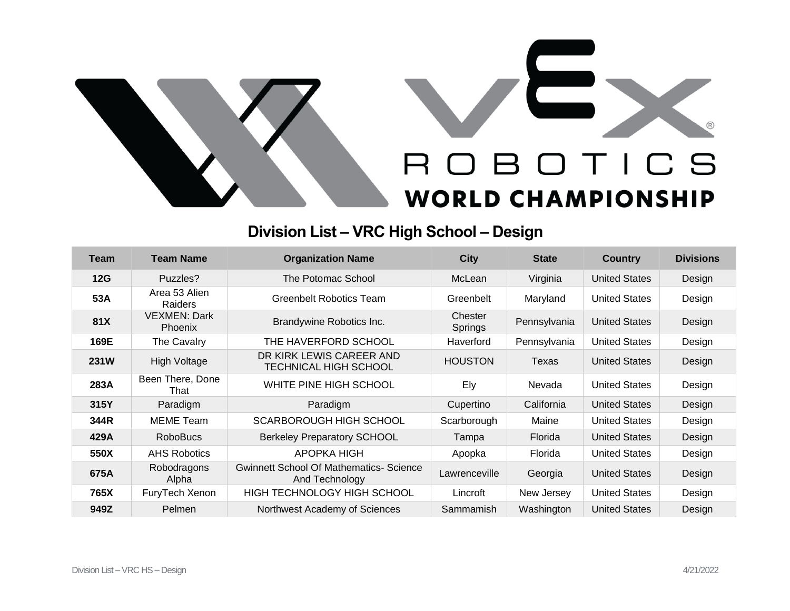



## **Division List – VRC High School – Design**

| Team        | <b>Team Name</b>                      | <b>Organization Name</b>                                         | <b>City</b>        | <b>State</b> | <b>Country</b>       | <b>Divisions</b> |
|-------------|---------------------------------------|------------------------------------------------------------------|--------------------|--------------|----------------------|------------------|
| 12G         | Puzzles?                              | The Potomac School                                               | McLean             | Virginia     | <b>United States</b> | Design           |
| 53A         | Area 53 Alien<br>Raiders              | <b>Greenbelt Robotics Team</b>                                   | Greenbelt          | Maryland     | <b>United States</b> | Design           |
| 81X         | <b>VEXMEN: Dark</b><br><b>Phoenix</b> | Brandywine Robotics Inc.                                         | Chester<br>Springs | Pennsylvania | <b>United States</b> | Design           |
| 169E        | The Cavalry                           | THE HAVERFORD SCHOOL                                             | Haverford          | Pennsylvania | <b>United States</b> | Design           |
| <b>231W</b> | <b>High Voltage</b>                   | DR KIRK LEWIS CAREER AND<br><b>TECHNICAL HIGH SCHOOL</b>         | <b>HOUSTON</b>     | Texas        | <b>United States</b> | Design           |
| 283A        | Been There, Done<br>That              | WHITE PINE HIGH SCHOOL                                           | Ely                | Nevada       | <b>United States</b> | Design           |
| 315Y        | Paradigm                              | Paradigm                                                         | Cupertino          | California   | <b>United States</b> | Design           |
| 344R        | <b>MEME Team</b>                      | SCARBOROUGH HIGH SCHOOL                                          | Scarborough        | Maine        | <b>United States</b> | Design           |
| 429A        | <b>RoboBucs</b>                       | <b>Berkeley Preparatory SCHOOL</b>                               | Tampa              | Florida      | <b>United States</b> | Design           |
| 550X        | <b>AHS Robotics</b>                   | APOPKA HIGH                                                      | Apopka             | Florida      | <b>United States</b> | Design           |
| 675A        | Robodragons<br>Alpha                  | <b>Gwinnett School Of Mathematics- Science</b><br>And Technology | Lawrenceville      | Georgia      | <b>United States</b> | Design           |
| 765X        | FuryTech Xenon                        | HIGH TECHNOLOGY HIGH SCHOOL                                      | Lincroft           | New Jersey   | <b>United States</b> | Design           |
| 949Z        | Pelmen                                | Northwest Academy of Sciences                                    | Sammamish          | Washington   | <b>United States</b> | Design           |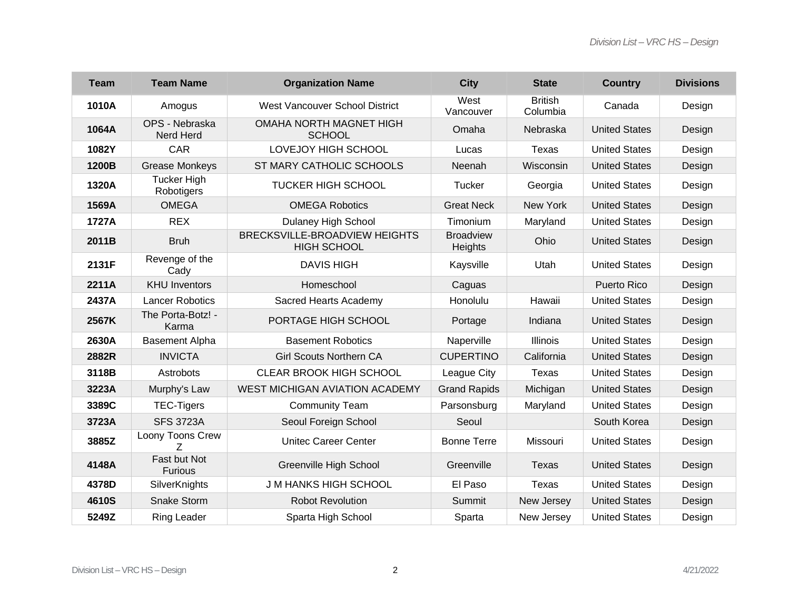| <b>Team</b> | <b>Team Name</b>                 | <b>Organization Name</b>                            | <b>City</b>                 | <b>State</b>               | <b>Country</b>       | <b>Divisions</b> |
|-------------|----------------------------------|-----------------------------------------------------|-----------------------------|----------------------------|----------------------|------------------|
| 1010A       | Amogus                           | <b>West Vancouver School District</b>               | West<br>Vancouver           | <b>British</b><br>Columbia | Canada               | Design           |
| 1064A       | OPS - Nebraska<br>Nerd Herd      | <b>OMAHA NORTH MAGNET HIGH</b><br><b>SCHOOL</b>     | Omaha                       | Nebraska                   | <b>United States</b> | Design           |
| 1082Y       | CAR                              | LOVEJOY HIGH SCHOOL                                 | Lucas                       | <b>Texas</b>               | <b>United States</b> | Design           |
| 1200B       | <b>Grease Monkeys</b>            | ST MARY CATHOLIC SCHOOLS                            | Neenah                      | Wisconsin                  | <b>United States</b> | Design           |
| 1320A       | <b>Tucker High</b><br>Robotigers | <b>TUCKER HIGH SCHOOL</b>                           | Tucker                      | Georgia                    | <b>United States</b> | Design           |
| 1569A       | <b>OMEGA</b>                     | <b>OMEGA Robotics</b>                               | <b>Great Neck</b>           | New York                   | <b>United States</b> | Design           |
| 1727A       | <b>REX</b>                       | Dulaney High School                                 | Timonium                    | Maryland                   | <b>United States</b> | Design           |
| 2011B       | <b>Bruh</b>                      | BRECKSVILLE-BROADVIEW HEIGHTS<br><b>HIGH SCHOOL</b> | <b>Broadview</b><br>Heights | Ohio                       | <b>United States</b> | Design           |
| 2131F       | Revenge of the<br>Cady           | <b>DAVIS HIGH</b>                                   | Kaysville                   | Utah                       | <b>United States</b> | Design           |
| 2211A       | <b>KHU Inventors</b>             | Homeschool                                          | Caguas                      |                            | <b>Puerto Rico</b>   | Design           |
| 2437A       | <b>Lancer Robotics</b>           | Sacred Hearts Academy                               | Honolulu                    | Hawaii                     | <b>United States</b> | Design           |
| 2567K       | The Porta-Botz! -<br>Karma       | PORTAGE HIGH SCHOOL                                 | Portage                     | Indiana                    | <b>United States</b> | Design           |
| 2630A       | <b>Basement Alpha</b>            | <b>Basement Robotics</b>                            | Naperville                  | <b>Illinois</b>            | <b>United States</b> | Design           |
| 2882R       | <b>INVICTA</b>                   | <b>Girl Scouts Northern CA</b>                      | <b>CUPERTINO</b>            | California                 | <b>United States</b> | Design           |
| 3118B       | Astrobots                        | <b>CLEAR BROOK HIGH SCHOOL</b>                      | League City                 | Texas                      | <b>United States</b> | Design           |
| 3223A       | Murphy's Law                     | WEST MICHIGAN AVIATION ACADEMY                      | <b>Grand Rapids</b>         | Michigan                   | <b>United States</b> | Design           |
| 3389C       | <b>TEC-Tigers</b>                | <b>Community Team</b>                               | Parsonsburg                 | Maryland                   | <b>United States</b> | Design           |
| 3723A       | <b>SFS 3723A</b>                 | Seoul Foreign School                                | Seoul                       |                            | South Korea          | Design           |
| 3885Z       | Loony Toons Crew<br>Z            | <b>Unitec Career Center</b>                         | <b>Bonne Terre</b>          | Missouri                   | <b>United States</b> | Design           |
| 4148A       | Fast but Not<br><b>Furious</b>   | Greenville High School                              | Greenville                  | <b>Texas</b>               | <b>United States</b> | Design           |
| 4378D       | SilverKnights                    | <b>J M HANKS HIGH SCHOOL</b>                        | El Paso                     | <b>Texas</b>               | <b>United States</b> | Design           |
| 4610S       | Snake Storm                      | <b>Robot Revolution</b>                             | Summit                      | New Jersey                 | <b>United States</b> | Design           |
| 5249Z       | <b>Ring Leader</b>               | Sparta High School                                  | Sparta                      | New Jersey                 | <b>United States</b> | Design           |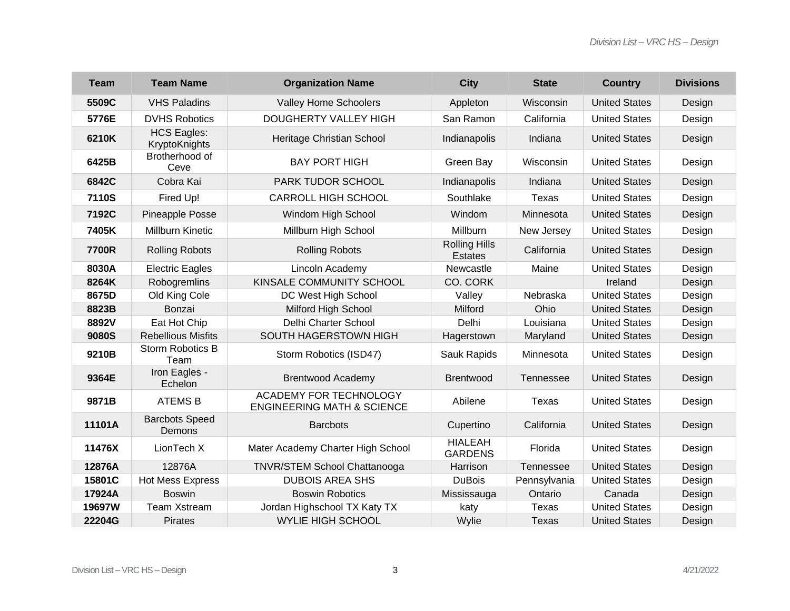| <b>Team</b>  | <b>Team Name</b>                    | <b>Organization Name</b>                                        | <b>City</b>                            | <b>State</b>     | <b>Country</b>       | <b>Divisions</b> |
|--------------|-------------------------------------|-----------------------------------------------------------------|----------------------------------------|------------------|----------------------|------------------|
| 5509C        | <b>VHS Paladins</b>                 | <b>Valley Home Schoolers</b>                                    | Appleton                               | Wisconsin        | <b>United States</b> | Design           |
| 5776E        | <b>DVHS Robotics</b>                | DOUGHERTY VALLEY HIGH                                           | San Ramon                              | California       | <b>United States</b> | Design           |
| 6210K        | <b>HCS Eagles:</b><br>KryptoKnights | Heritage Christian School                                       | Indianapolis                           | Indiana          | <b>United States</b> | Design           |
| 6425B        | Brotherhood of<br>Ceve              | <b>BAY PORT HIGH</b>                                            | Green Bay                              | Wisconsin        | <b>United States</b> | Design           |
| 6842C        | Cobra Kai                           | PARK TUDOR SCHOOL                                               | Indianapolis                           | Indiana          | <b>United States</b> | Design           |
| <b>7110S</b> | Fired Up!                           | <b>CARROLL HIGH SCHOOL</b>                                      | Southlake                              | <b>Texas</b>     | <b>United States</b> | Design           |
| 7192C        | Pineapple Posse                     | Windom High School                                              | Windom                                 | Minnesota        | <b>United States</b> | Design           |
| 7405K        | <b>Millburn Kinetic</b>             | Millburn High School                                            | Millburn                               | New Jersey       | <b>United States</b> | Design           |
| 7700R        | <b>Rolling Robots</b>               | <b>Rolling Robots</b>                                           | <b>Rolling Hills</b><br><b>Estates</b> | California       | <b>United States</b> | Design           |
| 8030A        | <b>Electric Eagles</b>              | Lincoln Academy                                                 | Newcastle                              | Maine            | <b>United States</b> | Design           |
| 8264K        | Robogremlins                        | KINSALE COMMUNITY SCHOOL                                        | CO. CORK                               |                  | Ireland              | Design           |
| 8675D        | Old King Cole                       | DC West High School                                             | Valley                                 | Nebraska         | <b>United States</b> | Design           |
| 8823B        | Bonzai                              | <b>Milford High School</b>                                      | Milford                                | Ohio             | <b>United States</b> | Design           |
| 8892V        | Eat Hot Chip                        | Delhi Charter School                                            | Delhi                                  | Louisiana        | <b>United States</b> | Design           |
| 9080S        | <b>Rebellious Misfits</b>           | SOUTH HAGERSTOWN HIGH                                           | Hagerstown                             | Maryland         | <b>United States</b> | Design           |
| 9210B        | <b>Storm Robotics B</b><br>Team     | Storm Robotics (ISD47)                                          | Sauk Rapids                            | Minnesota        | <b>United States</b> | Design           |
| 9364E        | Iron Eagles -<br>Echelon            | <b>Brentwood Academy</b>                                        | <b>Brentwood</b>                       | Tennessee        | <b>United States</b> | Design           |
| 9871B        | <b>ATEMS B</b>                      | ACADEMY FOR TECHNOLOGY<br><b>ENGINEERING MATH &amp; SCIENCE</b> | Abilene                                | Texas            | <b>United States</b> | Design           |
| 11101A       | <b>Barcbots Speed</b><br>Demons     | <b>Barcbots</b>                                                 | Cupertino                              | California       | <b>United States</b> | Design           |
| 11476X       | LionTech X                          | Mater Academy Charter High School                               | <b>HIALEAH</b><br><b>GARDENS</b>       | Florida          | <b>United States</b> | Design           |
| 12876A       | 12876A                              | <b>TNVR/STEM School Chattanooga</b>                             | Harrison                               | <b>Tennessee</b> | <b>United States</b> | Design           |
| 15801C       | <b>Hot Mess Express</b>             | <b>DUBOIS AREA SHS</b>                                          | <b>DuBois</b>                          | Pennsylvania     | <b>United States</b> | Design           |
| 17924A       | <b>Boswin</b>                       | <b>Boswin Robotics</b>                                          | Mississauga                            | Ontario          | Canada               | Design           |
| 19697W       | Team Xstream                        | Jordan Highschool TX Katy TX                                    | katy                                   | <b>Texas</b>     | <b>United States</b> | Design           |
| 22204G       | <b>Pirates</b>                      | <b>WYLIE HIGH SCHOOL</b>                                        | Wylie                                  | <b>Texas</b>     | <b>United States</b> | Design           |